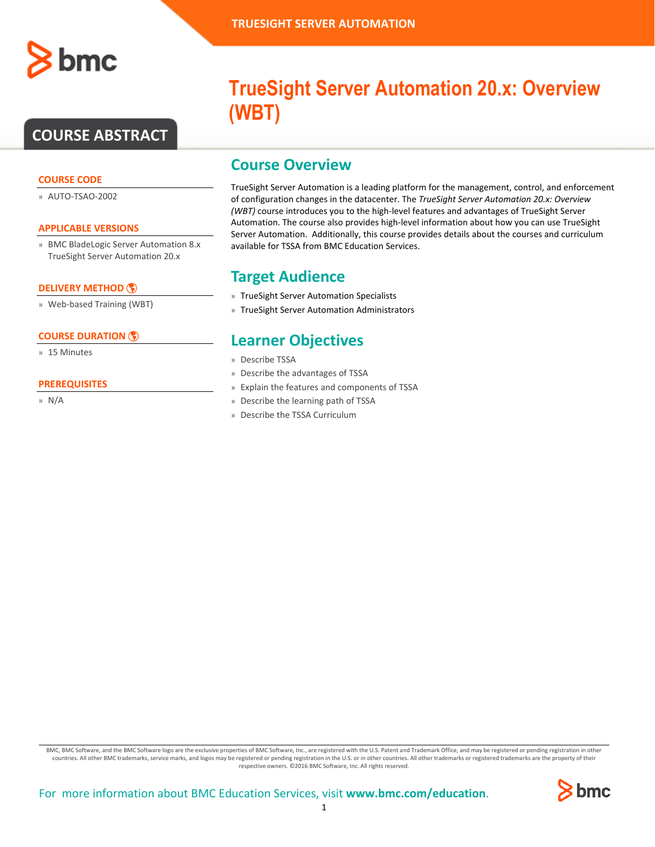

# **COURSE ABSTRACT**

### **COURSE CODE**

» AUTO-TSAO-2002

#### **APPLICABLE VERSIONS**

» BMC BladeLogic Server Automation 8.x TrueSight Server Automation 20.x

### **[DELIVERY METHOD](http://www.bmc.com/education/modality.html)**

» Web-based Training (WBT)

### **[COURSE DURATION](http://www.bmc.com/education/learning-paths/education-filters-learning-paths.html)**

» 15 Minutes

#### **PREREQUISITES**

» N/A

# **TrueSight Server Automation 20.x: Overview (WBT)**

## **Course Overview**

TrueSight Server Automation is a leading platform for the management, control, and enforcement of configuration changes in the datacenter. The *TrueSight Server Automation 20.x: Overview (WBT)* course introduces you to the high-level features and advantages of TrueSight Server Automation. The course also provides high-level information about how you can use TrueSight Server Automation. Additionally, this course provides details about the courses and curriculum available for TSSA from BMC Education Services.

## **Target Audience**

- » TrueSight Server Automation Specialists
- » TrueSight Server Automation Administrators

## **Learner Objectives**

- » Describe TSSA
- » Describe the advantages of TSSA
- » Explain the features and components of TSSA
- » Describe the learning path of TSSA
- » Describe the TSSA Curriculum

BMC, BMC Software, and the BMC Software logo are the exclusive properties of BMC Software, Inc., are registered with the U.S. Patent and Trademark Office, and may be registered or pending registration in other countries. All other BMC trademarks, service marks, and logos may be registered or pending registration in the U.S. or in other countries. All other trademarks or registered trademarks are the property of their respective owners. ©2016 BMC Software, Inc. All rights reserved.